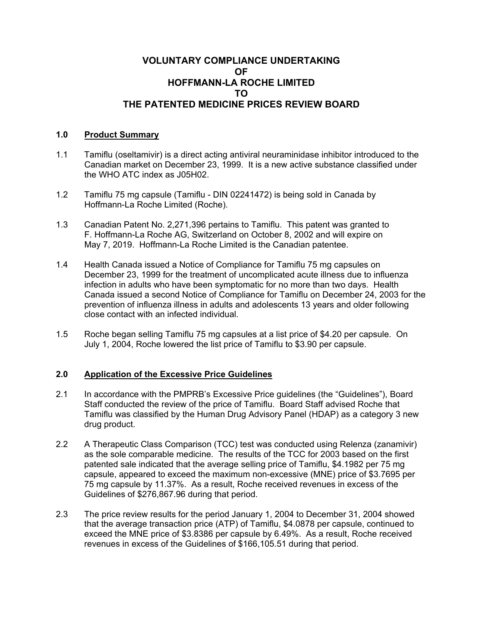## **VOLUNTARY COMPLIANCE UNDERTAKING OF HOFFMANN-LA ROCHE LIMITED TO THE PATENTED MEDICINE PRICES REVIEW BOARD**

## **1.0 Product Summary**

- 1.1 Tamiflu (oseltamivir) is a direct acting antiviral neuraminidase inhibitor introduced to the Canadian market on December 23, 1999. It is a new active substance classified under the WHO ATC index as J05H02.
- 1.2 Tamiflu 75 mg capsule (Tamiflu DIN 02241472) is being sold in Canada by Hoffmann-La Roche Limited (Roche).
- 1.3 Canadian Patent No. 2,271,396 pertains to Tamiflu. This patent was granted to F. Hoffmann-La Roche AG, Switzerland on October 8, 2002 and will expire on May 7, 2019. Hoffmann-La Roche Limited is the Canadian patentee.
- 1.4 Health Canada issued a Notice of Compliance for Tamiflu 75 mg capsules on December 23, 1999 for the treatment of uncomplicated acute illness due to influenza infection in adults who have been symptomatic for no more than two days. Health Canada issued a second Notice of Compliance for Tamiflu on December 24, 2003 for the prevention of influenza illness in adults and adolescents 13 years and older following close contact with an infected individual.
- 1.5 Roche began selling Tamiflu 75 mg capsules at a list price of \$4.20 per capsule. On July 1, 2004, Roche lowered the list price of Tamiflu to \$3.90 per capsule.

## **2.0 Application of the Excessive Price Guidelines**

- 2.1 In accordance with the PMPRB's Excessive Price guidelines (the "Guidelines"), Board Staff conducted the review of the price of Tamiflu. Board Staff advised Roche that Tamiflu was classified by the Human Drug Advisory Panel (HDAP) as a category 3 new drug product.
- 2.2 A Therapeutic Class Comparison (TCC) test was conducted using Relenza (zanamivir) as the sole comparable medicine. The results of the TCC for 2003 based on the first patented sale indicated that the average selling price of Tamiflu, \$4.1982 per 75 mg capsule, appeared to exceed the maximum non-excessive (MNE) price of \$3.7695 per 75 mg capsule by 11.37%. As a result, Roche received revenues in excess of the Guidelines of \$276,867.96 during that period.
- 2.3 The price review results for the period January 1, 2004 to December 31, 2004 showed that the average transaction price (ATP) of Tamiflu, \$4.0878 per capsule, continued to exceed the MNE price of \$3.8386 per capsule by 6.49%. As a result, Roche received revenues in excess of the Guidelines of \$166,105.51 during that period.